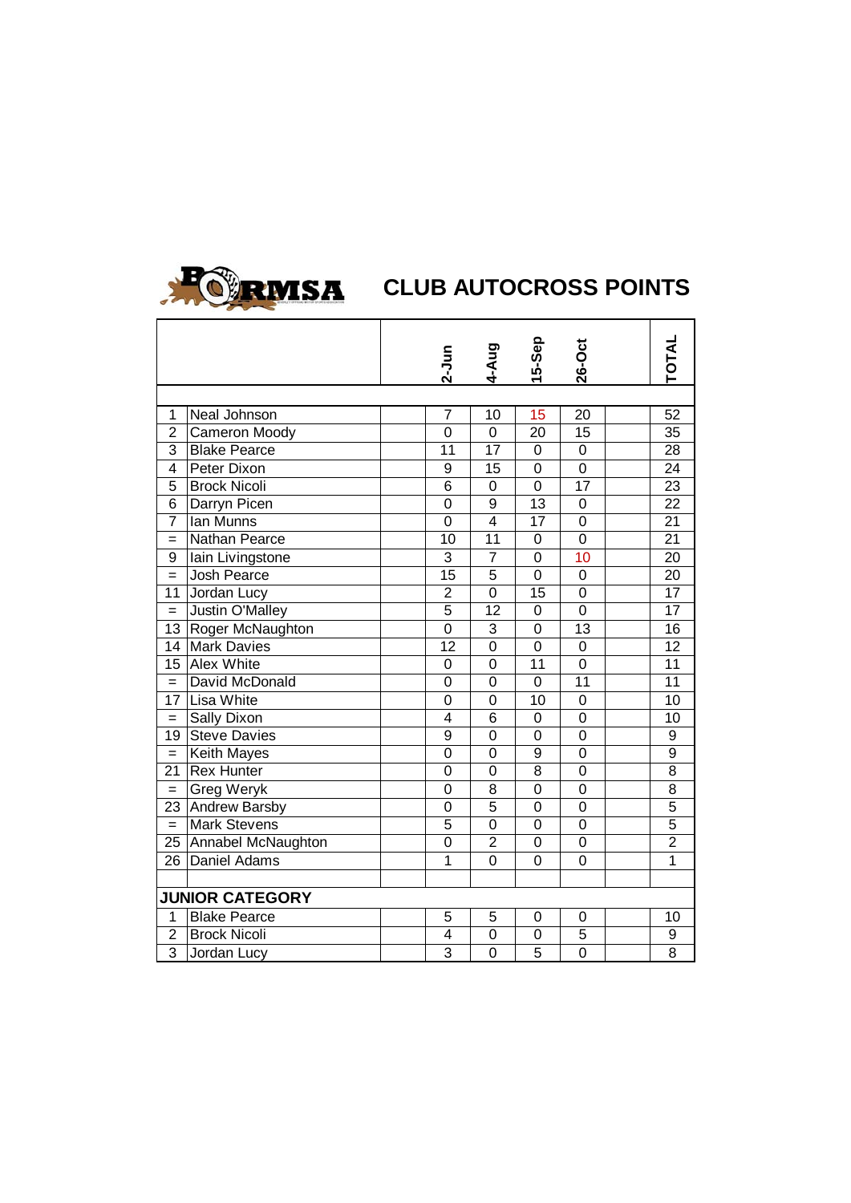

|                        |                       |  |                | 4-Aug          | 15-Sep           | <b>26-Oct</b>    |  | <b>TOTAL</b>   |
|------------------------|-----------------------|--|----------------|----------------|------------------|------------------|--|----------------|
|                        |                       |  | $2-Jun$        |                |                  |                  |  |                |
|                        |                       |  |                |                |                  |                  |  |                |
| 1                      | Neal Johnson          |  | $\overline{7}$ | 10             | 15               | 20               |  | 52             |
| $\overline{2}$         | Cameron Moody         |  | 0              | 0              | 20               | 15               |  | 35             |
| 3                      | <b>Blake Pearce</b>   |  | 11             | 17             | 0                | 0                |  | 28             |
| 4                      | Peter Dixon           |  | 9              | 15             | 0                | 0                |  | 24             |
| 5                      | <b>Brock Nicoli</b>   |  | 6              | 0              | 0                | 17               |  | 23             |
| 6                      | Darryn Picen          |  | 0              | 9              | 13               | 0                |  | 22             |
| $\overline{7}$         | Ian Munns             |  | 0              | 4              | 17               | 0                |  | 21             |
| $=$                    | Nathan Pearce         |  | 10             | 11             | 0                | 0                |  | 21             |
| 9                      | lain Livingstone      |  | 3              | $\overline{7}$ | 0                | 10               |  | 20             |
| $=$                    | Josh Pearce           |  | 15             | 5              | 0                | 0                |  | 20             |
| 11                     | Jordan Lucy           |  | $\overline{2}$ | 0              | 15               | 0                |  | 17             |
| $=$                    | Justin O'Malley       |  | 5              | 12             | $\mathbf 0$      | 0                |  | 17             |
| 13                     | Roger McNaughton      |  | 0              | 3              | 0                | 13               |  | 16             |
| 14                     | <b>Mark Davies</b>    |  | 12             | 0              | 0                | 0                |  | 12             |
| 15 <sub>1</sub>        | Alex White            |  | 0              | 0              | 11               | $\boldsymbol{0}$ |  | 11             |
| $=$                    | David McDonald        |  | 0              | 0              | 0                | 11               |  | 11             |
| 17                     | Lisa White            |  | 0              | 0              | 10               | $\boldsymbol{0}$ |  | 10             |
| $=$                    | Sally Dixon           |  | 4              | 6              | $\boldsymbol{0}$ | 0                |  | 10             |
| 19                     | <b>Steve Davies</b>   |  | 9              | 0              | 0                | $\boldsymbol{0}$ |  | 9              |
| $=$                    | Keith Mayes           |  | 0              | 0              | 9                | 0                |  | 9              |
| 21                     | <b>Rex Hunter</b>     |  | 0              | 0              | 8                | 0                |  | 8              |
| $=$                    | Greg Weryk            |  | 0              | 8              | 0                | 0                |  | 8              |
| 23                     | Andrew Barsby         |  | 0              | 5              | 0                | 0                |  | 5              |
| $=$                    | <b>Mark Stevens</b>   |  | 5              | 0              | 0                | 0                |  | 5              |
|                        | 25 Annabel McNaughton |  | 0              | 2              | 0                | 0                |  | $\overline{c}$ |
| 26 <sup>1</sup>        | Daniel Adams          |  | 1              | 0              | 0                | 0                |  | $\mathbf 1$    |
|                        |                       |  |                |                |                  |                  |  |                |
| <b>JUNIOR CATEGORY</b> |                       |  |                |                |                  |                  |  |                |
| $\mathbf{1}$           | <b>Blake Pearce</b>   |  | 5              | 5              | 0                | 0                |  | 10             |
| $\overline{c}$         | <b>Brock Nicoli</b>   |  | 4              | 0              | 0                | 5                |  | 9              |
| $\overline{3}$         | Jordan Lucy           |  | 3              | 0              | 5                | $\mathbf 0$      |  | 8              |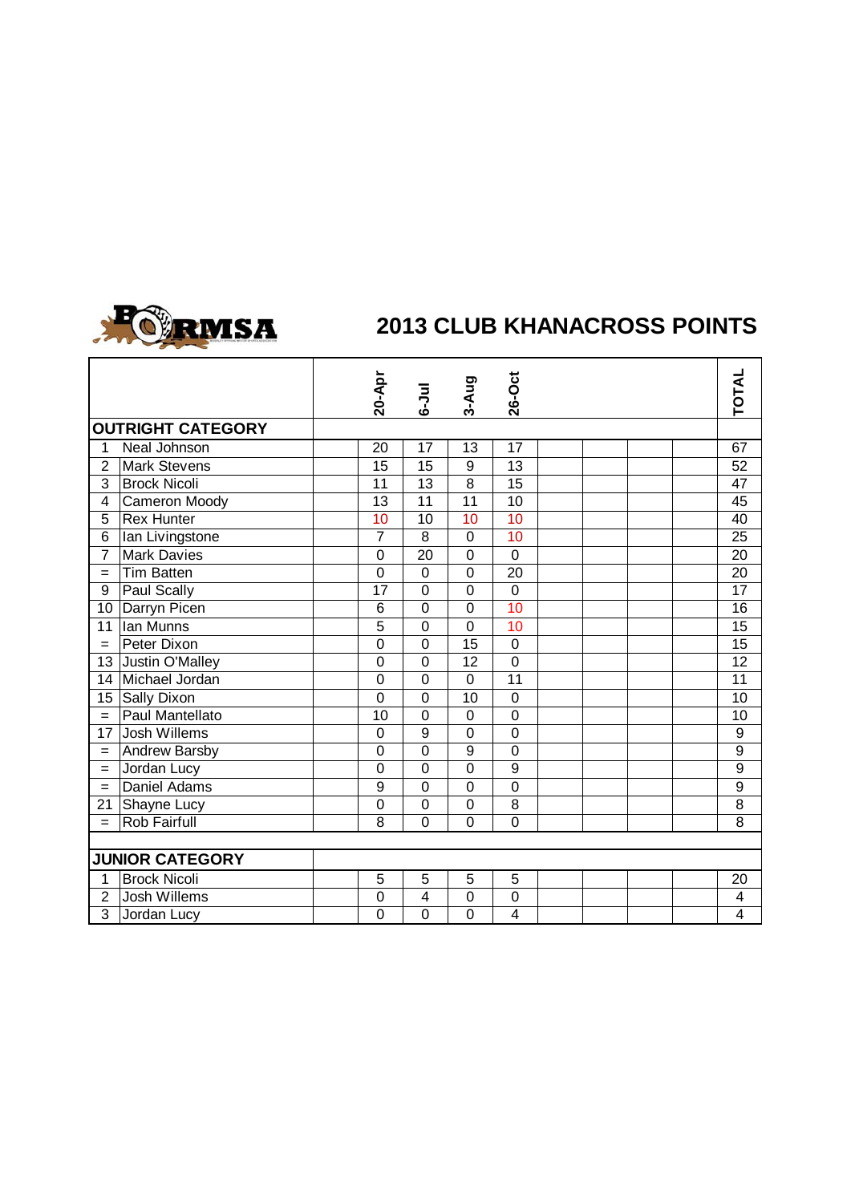

## **2013 CLUB KHANACROSS POINTS**

|                          |                        | 20-Apr          | $6 - J$ ul      | 3-Aug            | 26-Oct          |  | <b>TOTAL</b>   |
|--------------------------|------------------------|-----------------|-----------------|------------------|-----------------|--|----------------|
| <b>OUTRIGHT CATEGORY</b> |                        |                 |                 |                  |                 |  |                |
| $\mathbf{1}$             | <b>Neal Johnson</b>    | 20              | $\overline{17}$ | 13               | $\overline{17}$ |  | 67             |
| $\overline{2}$           | <b>Mark Stevens</b>    | 15              | 15              | 9                | 13              |  | 52             |
| 3                        | <b>Brock Nicoli</b>    | 11              | 13              | 8                | 15              |  | 47             |
| $\overline{\mathbf{4}}$  | <b>Cameron Moody</b>   | 13              | $\overline{11}$ | $\overline{11}$  | 10              |  | 45             |
| 5                        | Rex Hunter             | 10              | 10              | 10               | 10              |  | 40             |
| 6                        | Ian Livingstone        | $\overline{7}$  | 8               | $\mathbf 0$      | 10              |  | 25             |
| $\overline{7}$           | <b>Mark Davies</b>     | $\mathbf 0$     | $\overline{20}$ | $\mathbf 0$      | $\overline{0}$  |  | 20             |
| $=$                      | <b>Tim Batten</b>      | $\mathbf 0$     | $\overline{0}$  | $\mathbf 0$      | 20              |  | 20             |
| 9                        | Paul Scally            | 17              | $\overline{0}$  | $\overline{0}$   | $\overline{0}$  |  | 17             |
| 10                       | Darryn Picen           | $6\phantom{1}6$ | $\overline{0}$  | $\overline{0}$   | 10              |  | 16             |
| 11                       | Ian Munns              | 5               | $\overline{0}$  | $\overline{0}$   | 10              |  | 15             |
| $=$                      | Peter Dixon            | $\mathbf 0$     | $\overline{0}$  | 15               | $\mathbf 0$     |  | 15             |
| 13                       | Justin O'Malley        | $\mathbf 0$     | $\overline{0}$  | 12               | $\overline{0}$  |  | 12             |
| 14                       | Michael Jordan         | $\mathbf 0$     | $\overline{0}$  | $\mathbf 0$      | $\overline{11}$ |  | 11             |
| 15                       | Sally Dixon            | $\mathbf 0$     | $\overline{0}$  | 10               | $\mathbf 0$     |  | 10             |
| $=$                      | Paul Mantellato        | 10              | $\overline{0}$  | $\mathbf 0$      | $\overline{0}$  |  | 10             |
| 17                       | Josh Willems           | $\mathbf 0$     | $\overline{9}$  | $\overline{0}$   | $\overline{0}$  |  | $\overline{9}$ |
| $=$                      | <b>Andrew Barsby</b>   | $\mathbf 0$     | $\overline{0}$  | $\boldsymbol{9}$ | $\mathbf 0$     |  | $\overline{9}$ |
| $=$                      | Jordan Lucy            | $\mathbf 0$     | $\overline{0}$  | $\mathbf 0$      | 9               |  | $\overline{9}$ |
| $=$                      | Daniel Adams           | 9               | $\overline{0}$  | $\mathbf 0$      | $\overline{0}$  |  | 9              |
| 21                       | Shayne Lucy            | $\overline{0}$  | $\overline{0}$  | $\overline{0}$   | $\overline{8}$  |  | $\overline{8}$ |
| $=$                      | Rob Fairfull           | 8               | $\overline{0}$  | $\overline{0}$   | $\overline{0}$  |  | 8              |
|                          |                        |                 |                 |                  |                 |  |                |
|                          | <b>JUNIOR CATEGORY</b> |                 |                 |                  |                 |  |                |
| $\mathbf{1}$             | <b>Brock Nicoli</b>    | $\overline{5}$  | $\overline{5}$  | $\overline{5}$   | $\overline{5}$  |  | 20             |
| $\overline{2}$           | Josh Willems           | $\mathbf 0$     | 4               | $\mathbf 0$      | 0               |  | 4              |
| 3                        | Jordan Lucy            | $\overline{0}$  | 0               | $\overline{0}$   | 4               |  | 4              |